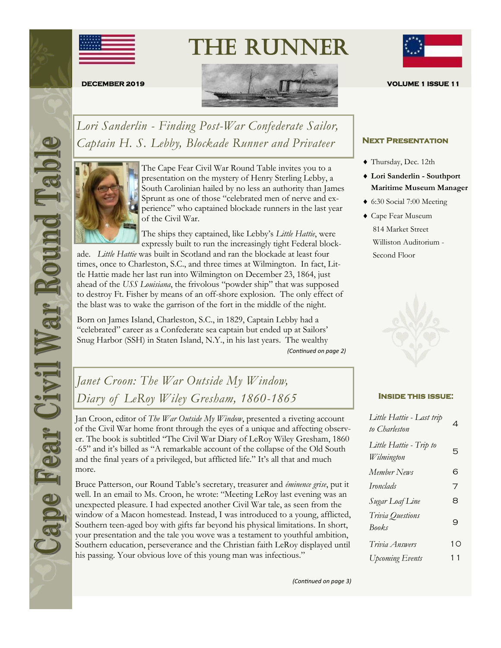

The Runner



*Lori Sanderlin - Finding Post-War Confederate Sailor, Captain H. S. Lebby, Blockade Runner and Privateer* 



The Cape Fear Civil War Round Table invites you to a presentation on the mystery of Henry Sterling Lebby, a South Carolinian hailed by no less an authority than James Sprunt as one of those "celebrated men of nerve and experience" who captained blockade runners in the last year of the Civil War.

The ships they captained, like Lebby's *Little Hattie*, were expressly built to run the increasingly tight Federal block-

ade. *Little Hattie* was built in Scotland and ran the blockade at least four times, once to Charleston, S.C., and three times at Wilmington. In fact, Little Hattie made her last run into Wilmington on December 23, 1864, just ahead of the *USS Louisiana*, the frivolous "powder ship" that was supposed to destroy Ft. Fisher by means of an off-shore explosion. The only effect of the blast was to wake the garrison of the fort in the middle of the night.

Born on James Island, Charleston, S.C., in 1829, Captain Lebby had a "celebrated" career as a Confederate sea captain but ended up at Sailors' Snug Harbor (SSH) in Staten Island, N.Y., in his last years. The wealthy *(Continued on page 2)*

# *Janet Croon: The War Outside My Window, Diary of LeRoy Wiley Gresham, 1860-1865* **INSIDE THIS ISSUE:**

Jan Croon, editor of *The War Outside My Window*, presented a riveting account of the Civil War home front through the eyes of a unique and affecting observer. The book is subtitled "The Civil War Diary of LeRoy Wiley Gresham, 1860 -65" and it's billed as "A remarkable account of the collapse of the Old South and the final years of a privileged, but afflicted life." It's all that and much more.

Bruce Patterson, our Round Table's secretary, treasurer and *éminence grise*, put it well. In an email to Ms. Croon, he wrote: "Meeting LeRoy last evening was an unexpected pleasure. I had expected another Civil War tale, as seen from the window of a Macon homestead. Instead, I was introduced to a young, afflicted, Southern teen-aged boy with gifts far beyond his physical limitations. In short, your presentation and the tale you wove was a testament to youthful ambition, Southern education, perseverance and the Christian faith LeRoy displayed until his passing. Your obvious love of this young man was infectious."



#### **Next Presentation**

- Thursday, Dec. 12th
- **Lori Sanderlin - Southport Maritime Museum Manager**
- 6:30 Social 7:00 Meeting
- Cape Fear Museum 814 Market Street Williston Auditorium - Second Floor



| Little Hattie - Last trip<br>to Charleston | 4  |
|--------------------------------------------|----|
| Little Hattie - Trip to<br>Wilmington      | 5  |
| Member News                                | 6  |
| <i>Ironclads</i>                           | 7  |
| Sugar Loaf Line                            | 8  |
| Trivia Questions<br><b>Books</b>           | 9  |
| Trivia Answers                             | 10 |
| <b>Upcoming Events</b>                     | 11 |

*(Continued on page 3)*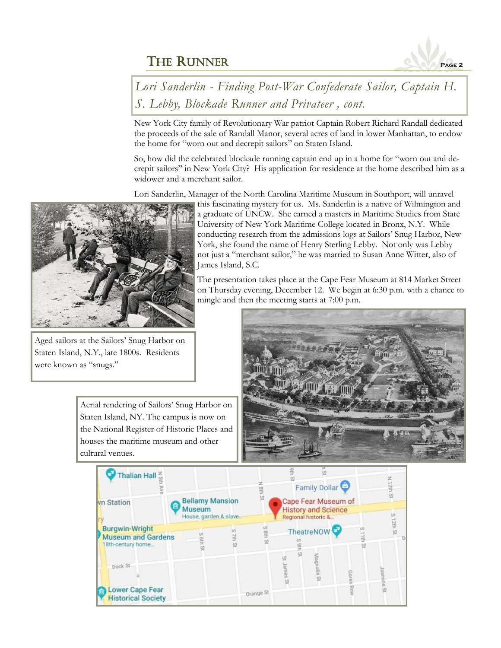

*Lori Sanderlin - Finding Post-War Confederate Sailor, Captain H. S. Lebby, Blockade Runner and Privateer , cont.*

New York City family of Revolutionary War patriot Captain Robert Richard Randall dedicated the proceeds of the sale of Randall Manor, several acres of land in lower Manhattan, to endow the home for "worn out and decrepit sailors" on Staten Island.

So, how did the celebrated blockade running captain end up in a home for "worn out and decrepit sailors" in New York City? His application for residence at the home described him as a widower and a merchant sailor.

Lori Sanderlin, Manager of the North Carolina Maritime Museum in Southport, will unravel



Aged sailors at the Sailors' Snug Harbor on Staten Island, N.Y., late 1800s. Residents were known as "snugs."

> Aerial rendering of Sailors' Snug Harbor on Staten Island, NY. The campus is now on the National Register of Historic Places and houses the maritime museum and other cultural venues.

this fascinating mystery for us. Ms. Sanderlin is a native of Wilmington and a graduate of UNCW. She earned a masters in Maritime Studies from State University of New York Maritime College located in Bronx, N.Y. While conducting research from the admissions logs at Sailors' Snug Harbor, New York, she found the name of Henry Sterling Lebby. Not only was Lebby not just a "merchant sailor," he was married to Susan Anne Witter, also of James Island, S.C.

The presentation takes place at the Cape Fear Museum at 814 Market Street on Thursday evening, December 12. We begin at 6:30 p.m. with a chance to mingle and then the meeting starts at 7:00 p.m.



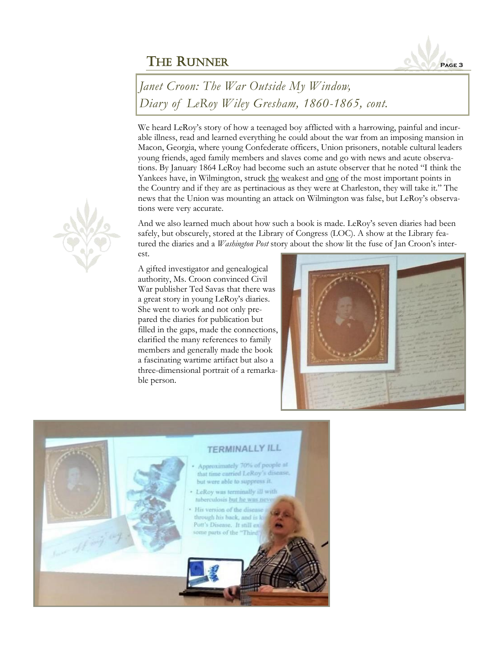

*Janet Croon: The War Outside My Window, Diary of LeRoy Wiley Gresham, 1860-1865, cont.*

We heard LeRoy's story of how a teenaged boy afflicted with a harrowing, painful and incurable illness, read and learned everything he could about the war from an imposing mansion in Macon, Georgia, where young Confederate officers, Union prisoners, notable cultural leaders young friends, aged family members and slaves come and go with news and acute observations. By January 1864 LeRoy had become such an astute observer that he noted "I think the Yankees have, in Wilmington, struck the weakest and <u>one</u> of the most important points in the Country and if they are as pertinacious as they were at Charleston, they will take it." The news that the Union was mounting an attack on Wilmington was false, but LeRoy's observations were very accurate.

And we also learned much about how such a book is made. LeRoy's seven diaries had been safely, but obscurely, stored at the Library of Congress (LOC). A show at the Library featured the diaries and a *Washington Post* story about the show lit the fuse of Jan Croon's interest.

A gifted investigator and genealogical authority, Ms. Croon convinced Civil War publisher Ted Savas that there was a great story in young LeRoy's diaries. She went to work and not only prepared the diaries for publication but filled in the gaps, made the connections, clarified the many references to family members and generally made the book a fascinating wartime artifact but also a three-dimensional portrait of a remarkable person.





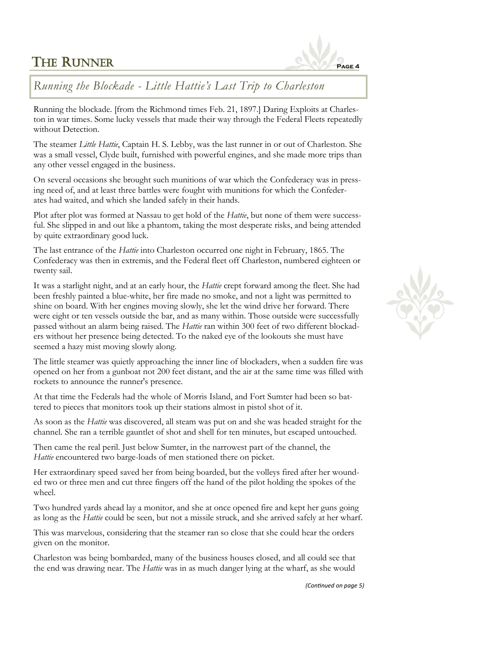# **THE RUNNER**



## *Running the Blockade - Little Hattie's Last Trip to Charleston*

Running the blockade. [from the Richmond times Feb. 21, 1897.] Daring Exploits at Charleston in war times. Some lucky vessels that made their way through the Federal Fleets repeatedly without Detection.

The steamer *Little Hattie*, Captain H. S. Lebby, was the last runner in or out of Charleston. She was a small vessel, Clyde built, furnished with powerful engines, and she made more trips than any other vessel engaged in the business.

On several occasions she brought such munitions of war which the Confederacy was in pressing need of, and at least three battles were fought with munitions for which the Confederates had waited, and which she landed safely in their hands.

Plot after plot was formed at Nassau to get hold of the *Hattie*, but none of them were successful. She slipped in and out like a phantom, taking the most desperate risks, and being attended by quite extraordinary good luck.

The last entrance of the *Hattie* into Charleston occurred one night in February, 1865. The Confederacy was then in extremis, and the Federal fleet off Charleston, numbered eighteen or twenty sail.

It was a starlight night, and at an early hour, the *Hattie* crept forward among the fleet. She had been freshly painted a blue-white, her fire made no smoke, and not a light was permitted to shine on board. With her engines moving slowly, she let the wind drive her forward. There were eight or ten vessels outside the bar, and as many within. Those outside were successfully passed without an alarm being raised. The *Hattie* ran within 300 feet of two different blockaders without her presence being detected. To the naked eye of the lookouts she must have seemed a hazy mist moving slowly along.

The little steamer was quietly approaching the inner line of blockaders, when a sudden fire was opened on her from a gunboat not 200 feet distant, and the air at the same time was filled with rockets to announce the runner's presence.

At that time the Federals had the whole of Morris Island, and Fort Sumter had been so battered to pieces that monitors took up their stations almost in pistol shot of it.

As soon as the *Hattie* was discovered, all steam was put on and she was headed straight for the channel. She ran a terrible gauntlet of shot and shell for ten minutes, but escaped untouched.

Then came the real peril. Just below Sumter, in the narrowest part of the channel, the *Hattie* encountered two barge-loads of men stationed there on picket.

Her extraordinary speed saved her from being boarded, but the volleys fired after her wounded two or three men and cut three fingers off the hand of the pilot holding the spokes of the wheel.

Two hundred yards ahead lay a monitor, and she at once opened fire and kept her guns going as long as the *Hattie* could be seen, but not a missile struck, and she arrived safely at her wharf.

This was marvelous, considering that the steamer ran so close that she could hear the orders given on the monitor.

Charleston was being bombarded, many of the business houses closed, and all could see that the end was drawing near. The *Hattie* was in as much danger lying at the wharf, as she would

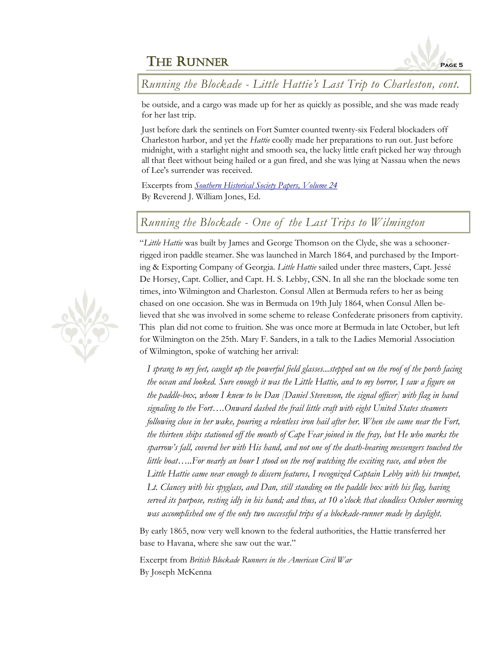

*Running the Blockade - Little Hattie's Last Trip to Charleston, cont.*

be outside, and a cargo was made up for her as quickly as possible, and she was made ready for her last trip.

Just before dark the sentinels on Fort Sumter counted twenty-six Federal blockaders off Charleston harbor, and yet the *Hattie* coolly made her preparations to run out. Just before midnight, with a starlight night and smooth sea, the lucky little craft picked her way through all that fleet without being hailed or a gun fired, and she was lying at Nassau when the news of Lee's surrender was received.

Excerpts from *[Southern Historical Society Papers, Volume 24](http://www.perseus.tufts.edu/hopper/text?doc=Perseus%3Atext%3A2001.05.0282%3Achapter%3D1.40)* By Reverend J. William Jones, Ed.

# *Running the Blockade - One of the Last Trips to Wilmington*

"*Little Hattie* was built by James and George Thomson on the Clyde, she was a schoonerrigged iron paddle steamer. She was launched in March 1864, and purchased by the Importing & Exporting Company of Georgia. *Little Hattie* sailed under three masters, Capt. Jessé De Horsey, Capt. Collier, and Capt. H. S. Lebby, CSN. In all she ran the blockade some ten times, into Wilmington and Charleston. Consul Allen at Bermuda refers to her as being chased on one occasion. She was in Bermuda on 19th July 1864, when Consul Allen believed that she was involved in some scheme to release Confederate prisoners from captivity. This plan did not come to fruition. She was once more at Bermuda in late October, but left for Wilmington on the 25th. Mary F. Sanders, in a talk to the Ladies Memorial Association of Wilmington, spoke of watching her arrival:

*I sprang to my feet, caught up the powerful field glasses...stepped out on the roof of the porch facing the ocean and looked. Sure enough it was the Little Hattie, and to my horror, I saw a figure on the paddle-box, whom I knew to be Dan [Daniel Stevenson, the signal officer] with flag in hand signaling to the Fort….Onward dashed the frail little craft with eight United States steamers following close in her wake, pouring a relentless iron hail after her. When she came near the Fort, the thirteen ships stationed off the mouth of Cape Fear joined in the fray, but He who marks the sparrow's fall, covered her with His hand, and not one of the death-bearing messengers touched the little boat…..For nearly an hour I stood on the roof watching the exciting race, and when the Little Hattie came near enough to discern features, I recognized Captain Lebby with his trumpet, Lt. Clancey with his spyglass, and Dan, still standing on the paddle box with his flag, having served its purpose, resting idly in his hand; and thus, at 10 o'clock that cloudless October morning was accomplished one of the only two successful trips of a blockade-runner made by daylight.*

By early 1865, now very well known to the federal authorities, the Hattie transferred her base to Havana, where she saw out the war."

Excerpt from *British Blockade Runners in the American Civil War* By Joseph McKenna

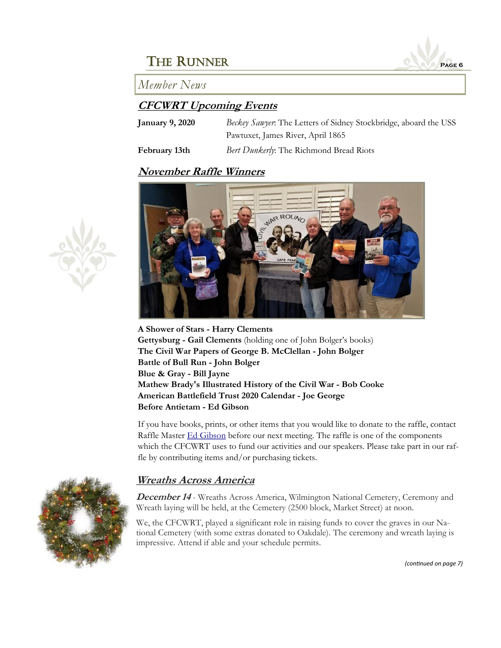

#### *Member News*

#### **CFCWRT Upcoming Events**

| <b>January 9, 2020</b> | Beckey Sanyer. The Letters of Sidney Stockbridge, aboard the USS |
|------------------------|------------------------------------------------------------------|
|                        | Pawtuxet, James River, April 1865                                |
| February 13th          | Bert Dunkerly: The Richmond Bread Riots                          |

#### **November Raffle Winners**



**A Shower of Stars - Harry Clements Gettysburg - Gail Clements** (holding one of John Bolger's books) **The Civil War Papers of George B. McClellan - John Bolger Battle of Bull Run - John Bolger Blue & Gray - Bill Jayne Mathew Brady's Illustrated History of the Civil War - Bob Cooke American Battlefield Trust 2020 Calendar - Joe George Before Antietam - Ed Gibson**

If you have books, prints, or other items that you would like to donate to the raffle, contact Raffle Master **[Ed Gibson](mailto:egibson759@aol.com)** before our next meeting. The raffle is one of the components which the CFCWRT uses to fund our activities and our speakers. Please take part in our raffle by contributing items and/or purchasing tickets.

#### **Wreaths Across America**

**December 14** - Wreaths Across America, Wilmington National Cemetery, Ceremony and Wreath laying will be held, at the Cemetery (2500 block, Market Street) at noon.

We, the CFCWRT, played a significant role in raising funds to cover the graves in our National Cemetery (with some extras donated to Oakdale). The ceremony and wreath laying is impressive. Attend if able and your schedule permits.



*(continued on page 7)*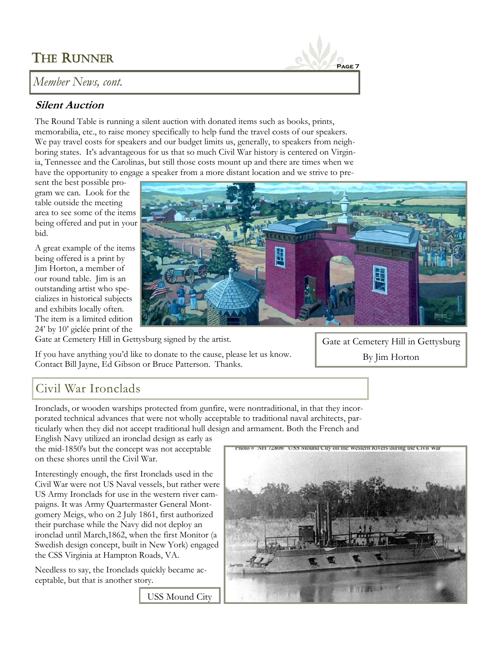# THE RUNNER

*Member News, cont.*

### **Silent Auction**

The Round Table is running a silent auction with donated items such as books, prints, memorabilia, etc., to raise money specifically to help fund the travel costs of our speakers. We pay travel costs for speakers and our budget limits us, generally, to speakers from neighboring states. It's advantageous for us that so much Civil War history is centered on Virginia, Tennessee and the Carolinas, but still those costs mount up and there are times when we have the opportunity to engage a speaker from a more distant location and we strive to pre-

sent the best possible program we can. Look for the table outside the meeting area to see some of the items being offered and put in your bid.

A great example of the items being offered is a print by Jim Horton, a member of our round table. Jim is an outstanding artist who specializes in historical subjects and exhibits locally often. The item is a limited edition 24' by 10' giclée print of the



**Page 7**

Gate at Cemetery Hill in Gettysburg signed by the artist.

If you have anything you'd like to donate to the cause, please let us know. Contact Bill Jayne, Ed Gibson or Bruce Patterson. Thanks.

Gate at Cemetery Hill in Gettysburg By Jim Horton

# Civil War Ironclads

Ironclads, or wooden warships protected from gunfire, were nontraditional, in that they incorporated technical advances that were not wholly acceptable to traditional naval architects, particularly when they did not accept traditional hull design and armament. Both the French and

English Navy utilized an ironclad design as early as the mid-1850's but the concept was not acceptable on these shores until the Civil War.

Interestingly enough, the first Ironclads used in the Civil War were not US Naval vessels, but rather were US Army Ironclads for use in the western river campaigns. It was Army Quartermaster General Montgomery Meigs, who on 2 July 1861, first authorized their purchase while the Navy did not deploy an ironclad until March,1862, when the first Monitor (a Swedish design concept, built in New York) engaged the CSS Virginia at Hampton Roads, VA.

Needless to say, the Ironclads quickly became acceptable, but that is another story.



USS Mound City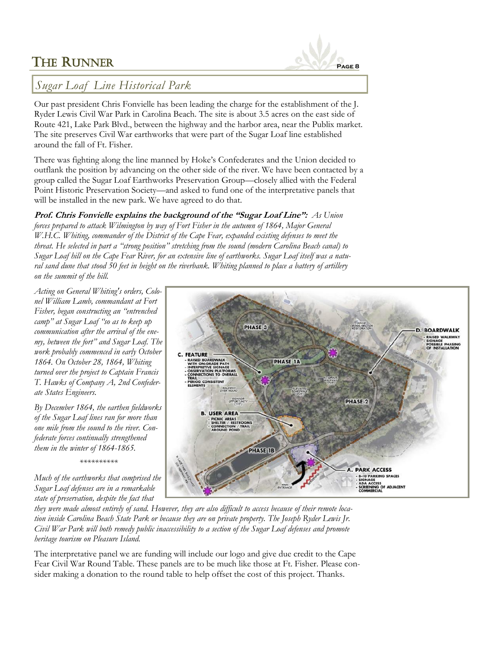

#### *Sugar Loaf Line Historical Park*

Our past president Chris Fonvielle has been leading the charge for the establishment of the J. Ryder Lewis Civil War Park in Carolina Beach. The site is about 3.5 acres on the east side of Route 421, Lake Park Blvd., between the highway and the harbor area, near the Publix market. The site preserves Civil War earthworks that were part of the Sugar Loaf line established around the fall of Ft. Fisher.

There was fighting along the line manned by Hoke's Confederates and the Union decided to outflank the position by advancing on the other side of the river. We have been contacted by a group called the Sugar Loaf Earthworks Preservation Group—closely allied with the Federal Point Historic Preservation Society—and asked to fund one of the interpretative panels that will be installed in the new park. We have agreed to do that.

**Prof. Chris Fonvielle explains the background of the "Sugar Loaf Line":** *As Union forces prepared to attack Wilmington by way of Fort Fisher in the autumn of 1864, Major General W.H.C. Whiting, commander of the District of the Cape Fear, expanded existing defenses to meet the threat. He selected in part a "strong position" stretching from the sound (modern Carolina Beach canal) to Sugar Loaf hill on the Cape Fear River, for an extensive line of earthworks. Sugar Loaf itself was a natural sand dune that stood 50 feet in height on the riverbank. Whiting planned to place a battery of artillery on the summit of the hill.* 

*Acting on General Whiting's orders, Colonel William Lamb, commandant at Fort Fisher, began constructing an "entrenched camp" at Sugar Loaf "so as to keep up communication after the arrival of the enemy, between the fort" and Sugar Loaf. The work probably commenced in early October 1864. On October 28, 1864, Whiting turned over the project to Captain Francis T. Hawks of Company A, 2nd Confederate States Engineers.*

*By December 1864, the earthen fieldworks of the Sugar Loaf lines ran for more than one mile from the sound to the river. Confederate forces continually strengthened them in the winter of 1864-1865.* 

*\*\*\*\*\*\*\*\*\*\**

*Much of the earthworks that comprised the Sugar Loaf defenses are in a remarkable state of preservation, despite the fact that* 

*they were made almost entirely of sand. However, they are also difficult to access because of their remote location inside Carolina Beach State Park or because they are on private property. The Joseph Ryder Lewis Jr. Civil War Park will both remedy public inaccessibility to a section of the Sugar Loaf defenses and promote heritage tourism on Pleasure Island.* 

The interpretative panel we are funding will include our logo and give due credit to the Cape Fear Civil War Round Table. These panels are to be much like those at Ft. Fisher. Please consider making a donation to the round table to help offset the cost of this project. Thanks.

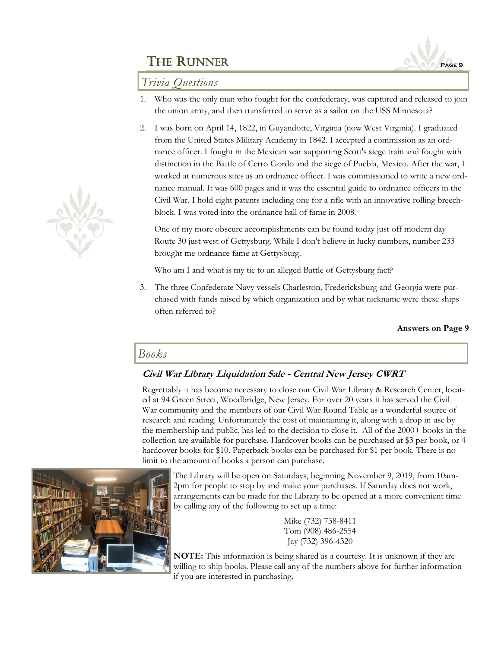

### *Trivia Questions*

- 1. Who was the only man who fought for the confederacy, was captured and released to join the union army, and then transferred to serve as a sailor on the USS Minnesota?
- 2. I was born on April 14, 1822, in Guyandotte, Virginia (now West Virginia). I graduated from the United States Military Academy in 1842. I accepted a commission as an ordnance officer. I fought in the Mexican war supporting Scott's siege train and fought with distinction in the Battle of Cerro Gordo and the siege of Puebla, Mexico. After the war, I worked at numerous sites as an ordnance officer. I was commissioned to write a new ordnance manual. It was 600 pages and it was the essential guide to ordnance officers in the Civil War. I hold eight patents including one for a rifle with an innovative rolling breechblock. I was voted into the ordnance hall of fame in 2008.

One of my more obscure accomplishments can be found today just off modern day Route 30 just west of Gettysburg. While I don't believe in lucky numbers, number 233 brought me ordnance fame at Gettysburg.

Who am I and what is my tie to an alleged Battle of Gettysburg fact?

3. The three Confederate Navy vessels Charleston, Fredericksburg and Georgia were purchased with funds raised by which organization and by what nickname were these ships often referred to?

**Answers on Page 9**

#### *Books*

#### **Civil War Library Liquidation Sale - Central New Jersey CWRT**

Regrettably it has become necessary to close our Civil War Library & Research Center, located at 94 Green Street, Woodbridge, New Jersey. For over 20 years it has served the Civil War community and the members of our Civil War Round Table as a wonderful source of research and reading. Unfortunately the cost of maintaining it, along with a drop in use by the membership and public, has led to the decision to close it. All of the 2000+ books in the collection are available for purchase. Hardcover books can be purchased at \$3 per book, or 4 hardcover books for \$10. Paperback books can be purchased for \$1 per book. There is no limit to the amount of books a person can purchase.



The Library will be open on Saturdays, beginning November 9, 2019, from 10am-2pm for people to stop by and make your purchases. If Saturday does not work, arrangements can be made for the Library to be opened at a more convenient time by calling any of the following to set up a time:

> Mike (732) 738-8411 Tom (908) 486-2554 Jay (732) 396-4320

**NOTE:** This information is being shared as a courtesy. It is unknown if they are willing to ship books. Please call any of the numbers above for further information if you are interested in purchasing.

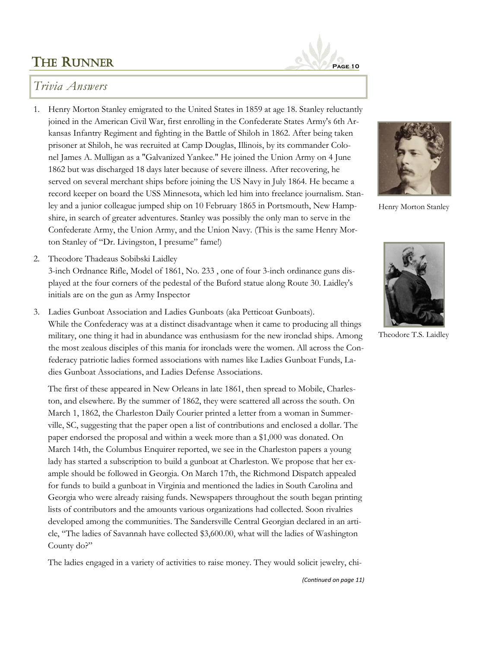

### *Trivia Answers*

- 1. Henry Morton Stanley emigrated to the United States in 1859 at age 18. Stanley reluctantly joined in the American Civil War, first enrolling in the Confederate States Army's 6th Arkansas Infantry Regiment and fighting in the Battle of Shiloh in 1862. After being taken prisoner at Shiloh, he was recruited at Camp Douglas, Illinois, by its commander Colonel James A. Mulligan as a "Galvanized Yankee." He joined the Union Army on 4 June 1862 but was discharged 18 days later because of severe illness. After recovering, he served on several merchant ships before joining the US Navy in July 1864. He became a record keeper on board the USS Minnesota, which led him into freelance journalism. Stanley and a junior colleague jumped ship on 10 February 1865 in Portsmouth, New Hampshire, in search of greater adventures. Stanley was possibly the only man to serve in the Confederate Army, the Union Army, and the Union Navy. (This is the same Henry Morton Stanley of "Dr. Livingston, I presume" fame!)
- 2. Theodore Thadeaus Sobibski Laidley

3-inch Ordnance Rifle, Model of 1861, No. 233 , one of four 3-inch ordinance guns displayed at the four corners of the pedestal of the Buford statue along Route 30. Laidley's initials are on the gun as Army Inspector

3. Ladies Gunboat Association and Ladies Gunboats (aka Petticoat Gunboats). While the Confederacy was at a distinct disadvantage when it came to producing all things military, one thing it had in abundance was enthusiasm for the new ironclad ships. Among the most zealous disciples of this mania for ironclads were the women. All across the Confederacy patriotic ladies formed associations with names like Ladies Gunboat Funds, Ladies Gunboat Associations, and Ladies Defense Associations.

The first of these appeared in New Orleans in late 1861, then spread to Mobile, Charleston, and elsewhere. By the summer of 1862, they were scattered all across the south. On March 1, 1862, the Charleston Daily Courier printed a letter from a woman in Summerville, SC, suggesting that the paper open a list of contributions and enclosed a dollar. The paper endorsed the proposal and within a week more than a \$1,000 was donated. On March 14th, the Columbus Enquirer reported, we see in the Charleston papers a young lady has started a subscription to build a gunboat at Charleston. We propose that her example should be followed in Georgia. On March 17th, the Richmond Dispatch appealed for funds to build a gunboat in Virginia and mentioned the ladies in South Carolina and Georgia who were already raising funds. Newspapers throughout the south began printing lists of contributors and the amounts various organizations had collected. Soon rivalries developed among the communities. The Sandersville Central Georgian declared in an article, "The ladies of Savannah have collected \$3,600.00, what will the ladies of Washington County do?"

The ladies engaged in a variety of activities to raise money. They would solicit jewelry, chi-



Henry Morton Stanley



Theodore T.S. Laidley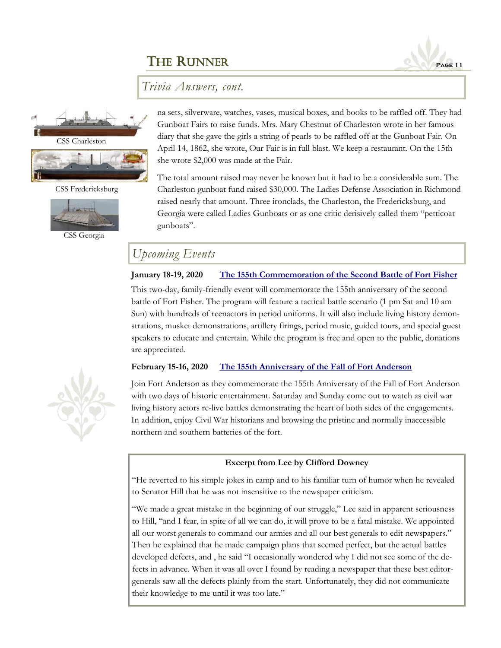

*Trivia Answers, cont.*



CSS Charleston



CSS Fredericksburg



CSS Georgia

na sets, silverware, watches, vases, musical boxes, and books to be raffled off. They had Gunboat Fairs to raise funds. Mrs. Mary Chestnut of Charleston wrote in her famous diary that she gave the girls a string of pearls to be raffled off at the Gunboat Fair. On April 14, 1862, she wrote, Our Fair is in full blast. We keep a restaurant. On the 15th she wrote \$2,000 was made at the Fair.

The total amount raised may never be known but it had to be a considerable sum. The Charleston gunboat fund raised \$30,000. The Ladies Defense Association in Richmond raised nearly that amount. Three ironclads, the Charleston, the Fredericksburg, and Georgia were called Ladies Gunboats or as one critic derisively called them "petticoat gunboats".

## *Upcoming Events*

#### **January 18-19, 2020 [The 155th Commemoration of the Second Battle of Fort Fisher](https://historicsites.nc.gov/events/glory-enough-all-155th-commemoration-second-battle-fort-fisher)**

This two-day, family-friendly event will commemorate the 155th anniversary of the second battle of Fort Fisher. The program will feature a tactical battle scenario (1 pm Sat and 10 am Sun) with hundreds of reenactors in period uniforms. It will also include living history demonstrations, musket demonstrations, artillery firings, period music, guided tours, and special guest speakers to educate and entertain. While the program is free and open to the public, donations are appreciated.

#### **February 15-16, 2020 [The 155th Anniversary of the Fall of Fort Anderson](https://historicsites.nc.gov/all-sites/brunswick-town-fort-anderson)**

Join Fort Anderson as they commemorate the 155th Anniversary of the Fall of Fort Anderson with two days of historic entertainment. Saturday and Sunday come out to watch as civil war living history actors re-live battles demonstrating the heart of both sides of the engagements. In addition, enjoy Civil War historians and browsing the pristine and normally inaccessible northern and southern batteries of the fort.

#### **Excerpt from Lee by Clifford Downey**

"He reverted to his simple jokes in camp and to his familiar turn of humor when he revealed to Senator Hill that he was not insensitive to the newspaper criticism.

"We made a great mistake in the beginning of our struggle," Lee said in apparent seriousness to Hill, "and I fear, in spite of all we can do, it will prove to be a fatal mistake. We appointed all our worst generals to command our armies and all our best generals to edit newspapers." Then he explained that he made campaign plans that seemed perfect, but the actual battles developed defects, and , he said "I occasionally wondered why I did not see some of the defects in advance. When it was all over I found by reading a newspaper that these best editorgenerals saw all the defects plainly from the start. Unfortunately, they did not communicate their knowledge to me until it was too late."